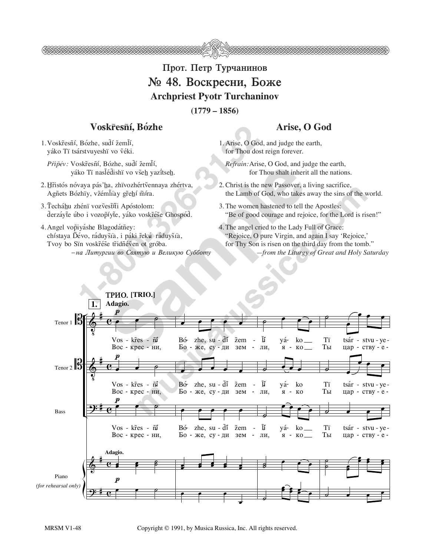

## Прот. Петр Турчанинов № 48. Воскресни, Боже **Archpriest Pyotr Turchaninov**

 $(1779 - 1856)$ 

## Voskřesní, Bózhe

1. Voskřesňí, Bózhe, sudí žemlí, yáko Ti tsárstvuyeshï vo véki.

Připév: Voskřesní, Bózhe, sudí žemlí, yáko Ti naslédishi vo všeh yazitseh.

- 2. Hřistós nóvaya pás'ha, zhïvozhértvennaya zhértva, Agñets Bózhïy, vžémltay gřehí míra.
- 3. Techáhu zhéni vozvestíti Apóstolom: derzáyte úbo i vozopíyte, yáko voskrése Ghospód.
- 4. Angel vopiyáshe Blagodátñey: chístaya Dévo, ráduyšía, i páki řekú ráduyšía, Tvoy bo Sïn voskr̃ése tr̃idñéven ot gróba. -на Литургии во Святую и Великую Субботу

## Arise, O God

- 1. Arise, O God, and judge the earth, for Thou dost reign forever.
- Refrain: Arise, O God, and judge the earth, for Thou shalt inherit all the nations.
- 2. Christ is the new Passover, a living sacrifice, the Lamb of God, who takes away the sins of the world.
- 3. The women hastened to tell the Apostles: "Be of good courage and rejoice, for the Lord is risen!"
- 4. The angel cried to the Lady Full of Grace: "Rejoice, O pure Virgin, and again I say 'Rejoice,' for Thy Son is risen on the third day from the tomb." -from the Liturgy of Great and Holy Saturday

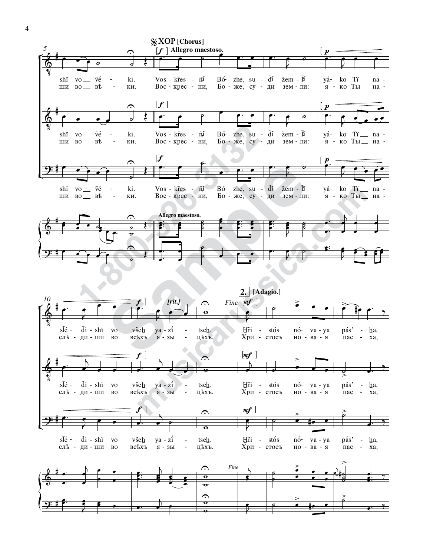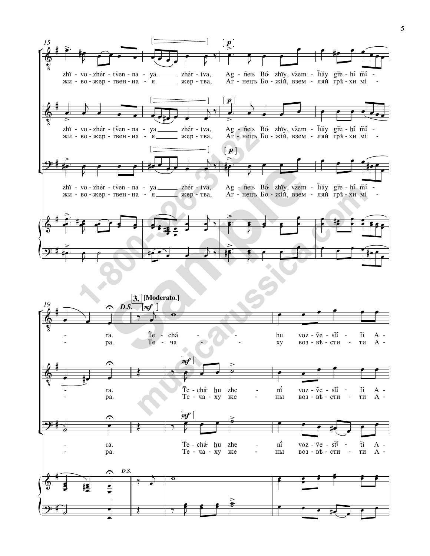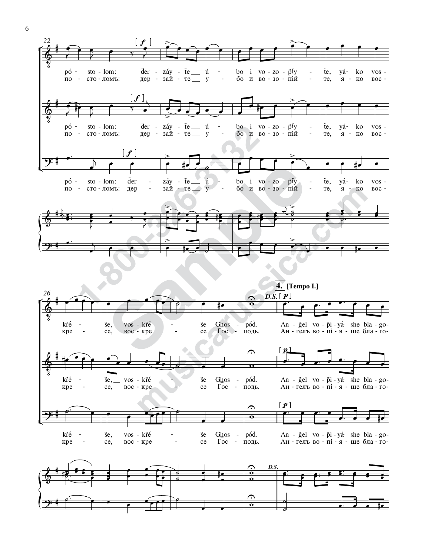